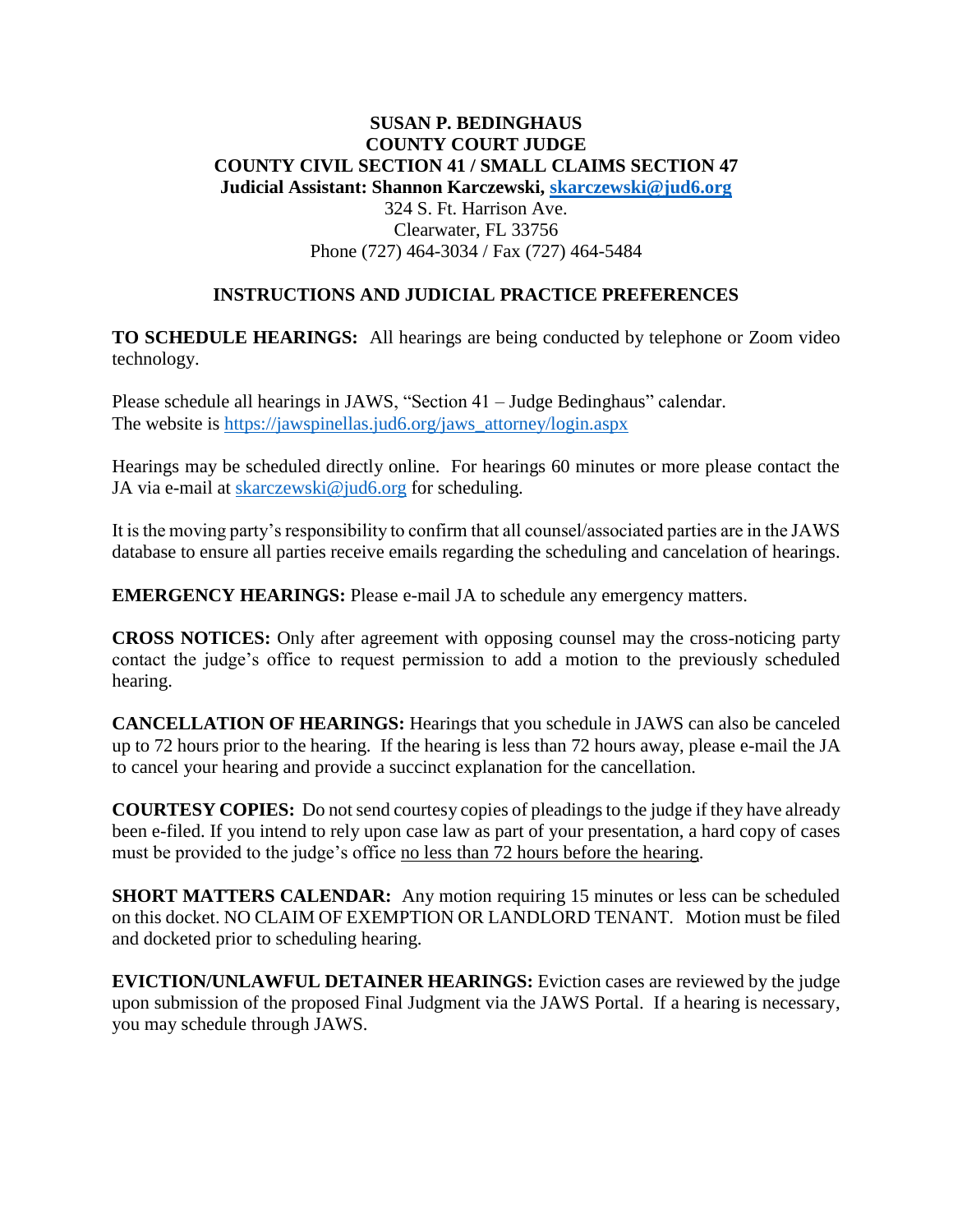## **SUSAN P. BEDINGHAUS COUNTY COURT JUDGE COUNTY CIVIL SECTION 41 / SMALL CLAIMS SECTION 47 Judicial Assistant: Shannon Karczewski, [skarczewski@jud6.org](mailto:skarczewski@jud6.org)** 324 S. Ft. Harrison Ave. Clearwater, FL 33756 Phone (727) 464-3034 / Fax (727) 464-5484

## **INSTRUCTIONS AND JUDICIAL PRACTICE PREFERENCES**

**TO SCHEDULE HEARINGS:** All hearings are being conducted by telephone or Zoom video technology.

Please schedule all hearings in JAWS, "Section 41 – Judge Bedinghaus" calendar. The website is [https://jawspinellas.jud6.org/jaws\\_attorney/login.aspx](https://jawspinellas.jud6.org/jaws_attorney/login.aspx)

Hearings may be scheduled directly online. For hearings 60 minutes or more please contact the JA via e-mail at [skarczewski@jud6.org](mailto:skarczewski@jud6.org) for scheduling.

It is the moving party's responsibility to confirm that all counsel/associated parties are in the JAWS database to ensure all parties receive emails regarding the scheduling and cancelation of hearings.

**EMERGENCY HEARINGS:** Please e-mail JA to schedule any emergency matters.

**CROSS NOTICES:** Only after agreement with opposing counsel may the cross-noticing party contact the judge's office to request permission to add a motion to the previously scheduled hearing.

**CANCELLATION OF HEARINGS:** Hearings that you schedule in JAWS can also be canceled up to 72 hours prior to the hearing. If the hearing is less than 72 hours away, please e-mail the JA to cancel your hearing and provide a succinct explanation for the cancellation.

**COURTESY COPIES:** Do not send courtesy copies of pleadings to the judge if they have already been e-filed. If you intend to rely upon case law as part of your presentation, a hard copy of cases must be provided to the judge's office no less than 72 hours before the hearing.

**SHORT MATTERS CALENDAR:** Any motion requiring 15 minutes or less can be scheduled on this docket. NO CLAIM OF EXEMPTION OR LANDLORD TENANT. Motion must be filed and docketed prior to scheduling hearing.

**EVICTION/UNLAWFUL DETAINER HEARINGS:** Eviction cases are reviewed by the judge upon submission of the proposed Final Judgment via the JAWS Portal. If a hearing is necessary, you may schedule through JAWS.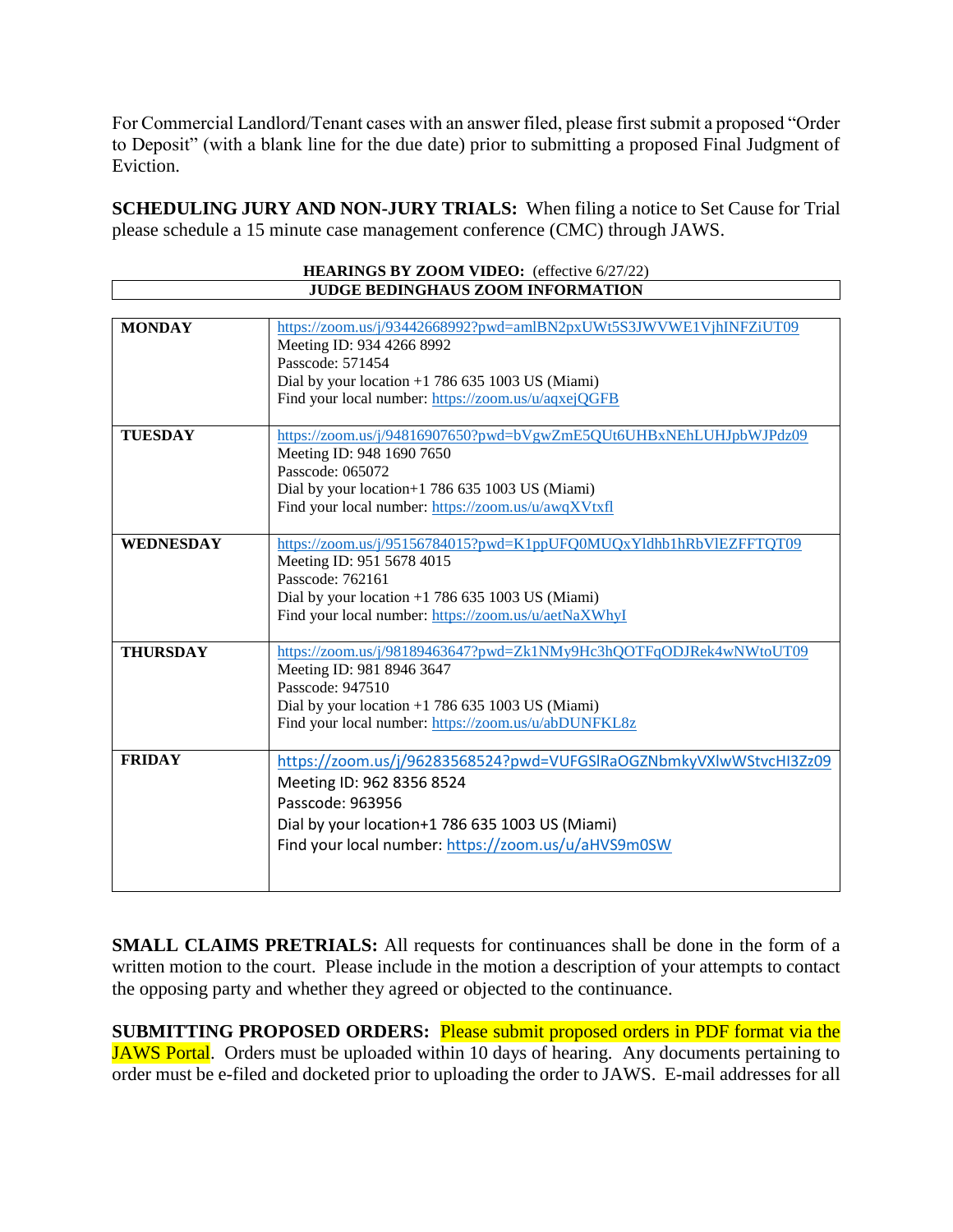For Commercial Landlord/Tenant cases with an answer filed, please first submit a proposed "Order to Deposit" (with a blank line for the due date) prior to submitting a proposed Final Judgment of Eviction.

**SCHEDULING JURY AND NON-JURY TRIALS:** When filing a notice to Set Cause for Trial please schedule a 15 minute case management conference (CMC) through JAWS.

| HEARINGS BY ZOOM VIDEO: (effective 6/27/22) |                                                                    |
|---------------------------------------------|--------------------------------------------------------------------|
| JUDGE BEDINGHAUS ZOOM INFORMATION           |                                                                    |
|                                             |                                                                    |
| <b>MONDAY</b>                               | https://zoom.us/j/93442668992?pwd=amlBN2pxUWt5S3JWVWE1VjhINFZiUT09 |
|                                             | Meeting ID: 934 4266 8992                                          |
|                                             | Passcode: 571454                                                   |
|                                             | Dial by your location $+1$ 786 635 1003 US (Miami)                 |
|                                             | Find your local number: https://zoom.us/u/aqxejQGFB                |
| <b>TUESDAY</b>                              | https://zoom.us/j/94816907650?pwd=bVgwZmE5QUt6UHBxNEhLUHJpbWJPdz09 |
|                                             | Meeting ID: 948 1690 7650                                          |
|                                             | Passcode: 065072                                                   |
|                                             | Dial by your location+1 786 635 1003 US (Miami)                    |
|                                             | Find your local number: https://zoom.us/u/awqXVtxfl                |
|                                             |                                                                    |
| <b>WEDNESDAY</b>                            | https://zoom.us/j/95156784015?pwd=K1ppUFQ0MUQxYldhb1hRbVlEZFFTQT09 |
|                                             | Meeting ID: 951 5678 4015                                          |
|                                             | Passcode: 762161                                                   |
|                                             | Dial by your location $+1$ 786 635 1003 US (Miami)                 |
|                                             | Find your local number: https://zoom.us/u/aetNaXWhyI               |
|                                             |                                                                    |
| <b>THURSDAY</b>                             | https://zoom.us/j/98189463647?pwd=Zk1NMy9Hc3hQOTFqODJRek4wNWtoUT09 |
|                                             | Meeting ID: 981 8946 3647                                          |
|                                             | Passcode: 947510                                                   |
|                                             | Dial by your location $+1$ 786 635 1003 US (Miami)                 |
|                                             | Find your local number: https://zoom.us/u/abDUNFKL8z               |
| <b>FRIDAY</b>                               | https://zoom.us/j/96283568524?pwd=VUFGSlRaOGZNbmkyVXlwWStvcHI3Zz09 |
|                                             | Meeting ID: 962 8356 8524                                          |
|                                             | Passcode: 963956                                                   |
|                                             | Dial by your location+1 786 635 1003 US (Miami)                    |
|                                             |                                                                    |
|                                             | Find your local number: https://zoom.us/u/aHVS9m0SW                |
|                                             |                                                                    |
|                                             |                                                                    |

**SMALL CLAIMS PRETRIALS:** All requests for continuances shall be done in the form of a written motion to the court. Please include in the motion a description of your attempts to contact the opposing party and whether they agreed or objected to the continuance.

**SUBMITTING PROPOSED ORDERS:** Please submit proposed orders in PDF format via the JAWS Portal. Orders must be uploaded within 10 days of hearing. Any documents pertaining to order must be e-filed and docketed prior to uploading the order to JAWS. E-mail addresses for all